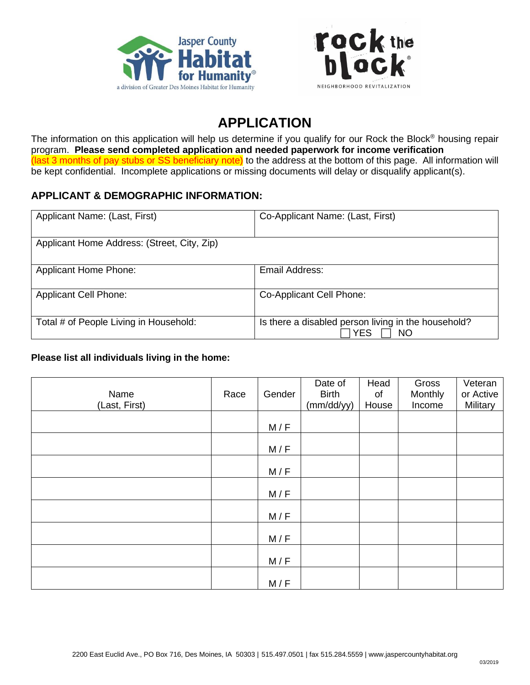



# **APPLICATION**

The information on this application will help us determine if you qualify for our Rock the Block® housing repair program. **Please send completed application and needed paperwork for income verification** (last 3 months of pay stubs or SS beneficiary note) to the address at the bottom of this page. All information will be kept confidential. Incomplete applications or missing documents will delay or disqualify applicant(s).

## **APPLICANT & DEMOGRAPHIC INFORMATION:**

| Applicant Name: (Last, First)               | Co-Applicant Name: (Last, First)                                  |
|---------------------------------------------|-------------------------------------------------------------------|
| Applicant Home Address: (Street, City, Zip) |                                                                   |
| <b>Applicant Home Phone:</b>                | Email Address:                                                    |
| <b>Applicant Cell Phone:</b>                | Co-Applicant Cell Phone:                                          |
| Total # of People Living in Household:      | Is there a disabled person living in the household?<br>YES<br>NO. |

#### **Please list all individuals living in the home:**

| Name<br>(Last, First) | Race | Gender | Date of<br><b>Birth</b><br>(mm/dd/yy) | Head<br>of<br>House | Gross<br>Monthly<br>Income | Veteran<br>or Active<br>Military |
|-----------------------|------|--------|---------------------------------------|---------------------|----------------------------|----------------------------------|
|                       |      | M/F    |                                       |                     |                            |                                  |
|                       |      | M/F    |                                       |                     |                            |                                  |
|                       |      | M/F    |                                       |                     |                            |                                  |
|                       |      | M/F    |                                       |                     |                            |                                  |
|                       |      | M/F    |                                       |                     |                            |                                  |
|                       |      | M/F    |                                       |                     |                            |                                  |
|                       |      | M/F    |                                       |                     |                            |                                  |
|                       |      | M/F    |                                       |                     |                            |                                  |